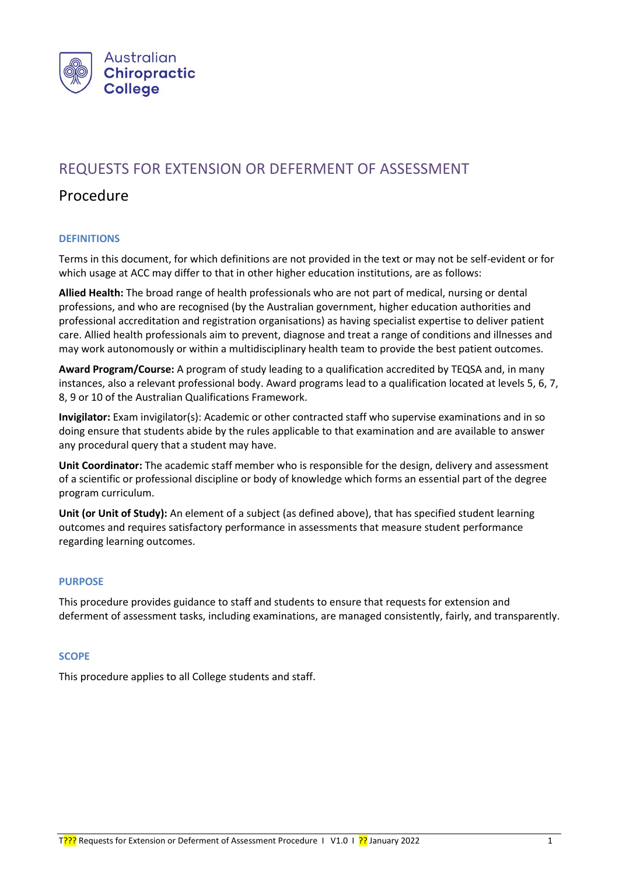

# REQUESTS FOR EXTENSION OR DEFERMENT OF ASSESSMENT

## Procedure

## **DEFINITIONS**

Terms in this document, for which definitions are not provided in the text or may not be self-evident or for which usage at ACC may differ to that in other higher education institutions, are as follows:

**Allied Health:** The broad range of health professionals who are not part of medical, nursing or dental professions, and who are recognised (by the Australian government, higher education authorities and professional accreditation and registration organisations) as having specialist expertise to deliver patient care. Allied health professionals aim to prevent, diagnose and treat a range of conditions and illnesses and may work autonomously or within a multidisciplinary health team to provide the best patient outcomes.

**Award Program/Course:** A program of study leading to a qualification accredited by TEQSA and, in many instances, also a relevant professional body. Award programs lead to a qualification located at levels 5, 6, 7, 8, 9 or 10 of the Australian Qualifications Framework.

**Invigilator:** Exam invigilator(s): Academic or other contracted staff who supervise examinations and in so doing ensure that students abide by the rules applicable to that examination and are available to answer any procedural query that a student may have.

**Unit Coordinator:** The academic staff member who is responsible for the design, delivery and assessment of a scientific or professional discipline or body of knowledge which forms an essential part of the degree program curriculum.

**Unit (or Unit of Study):** An element of a subject (as defined above), that has specified student learning outcomes and requires satisfactory performance in assessments that measure student performance regarding learning outcomes.

#### **PURPOSE**

This procedure provides guidance to staff and students to ensure that requests for extension and deferment of assessment tasks, including examinations, are managed consistently, fairly, and transparently.

#### **SCOPE**

This procedure applies to all College students and staff.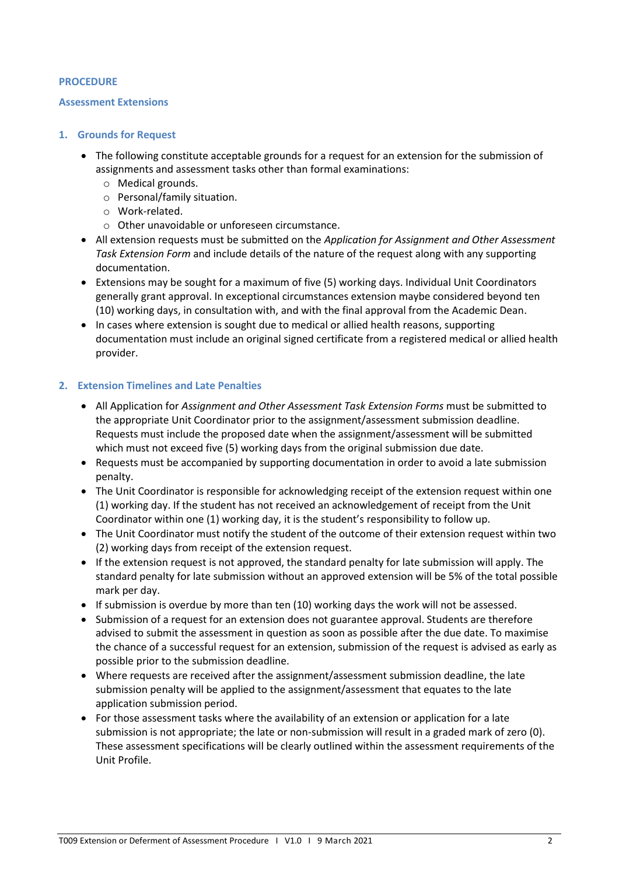#### **PROCEDURE**

#### **Assessment Extensions**

#### **1. Grounds for Request**

- The following constitute acceptable grounds for a request for an extension for the submission of assignments and assessment tasks other than formal examinations:
	- o Medical grounds.
	- o Personal/family situation.
	- o Work-related.
	- o Other unavoidable or unforeseen circumstance.
- All extension requests must be submitted on the *Application for Assignment and Other Assessment Task Extension Form* and include details of the nature of the request along with any supporting documentation.
- Extensions may be sought for a maximum of five (5) working days. Individual Unit Coordinators generally grant approval. In exceptional circumstances extension maybe considered beyond ten (10) working days, in consultation with, and with the final approval from the Academic Dean.
- In cases where extension is sought due to medical or allied health reasons, supporting documentation must include an original signed certificate from a registered medical or allied health provider.

## **2. Extension Timelines and Late Penalties**

- All Application for *Assignment and Other Assessment Task Extension Forms* must be submitted to the appropriate Unit Coordinator prior to the assignment/assessment submission deadline. Requests must include the proposed date when the assignment/assessment will be submitted which must not exceed five (5) working days from the original submission due date.
- Requests must be accompanied by supporting documentation in order to avoid a late submission penalty.
- The Unit Coordinator is responsible for acknowledging receipt of the extension request within one (1) working day. If the student has not received an acknowledgement of receipt from the Unit Coordinator within one (1) working day, it is the student's responsibility to follow up.
- The Unit Coordinator must notify the student of the outcome of their extension request within two (2) working days from receipt of the extension request.
- If the extension request is not approved, the standard penalty for late submission will apply. The standard penalty for late submission without an approved extension will be 5% of the total possible mark per day.
- If submission is overdue by more than ten (10) working days the work will not be assessed.
- Submission of a request for an extension does not guarantee approval. Students are therefore advised to submit the assessment in question as soon as possible after the due date. To maximise the chance of a successful request for an extension, submission of the request is advised as early as possible prior to the submission deadline.
- Where requests are received after the assignment/assessment submission deadline, the late submission penalty will be applied to the assignment/assessment that equates to the late application submission period.
- For those assessment tasks where the availability of an extension or application for a late submission is not appropriate; the late or non-submission will result in a graded mark of zero (0). These assessment specifications will be clearly outlined within the assessment requirements of the Unit Profile.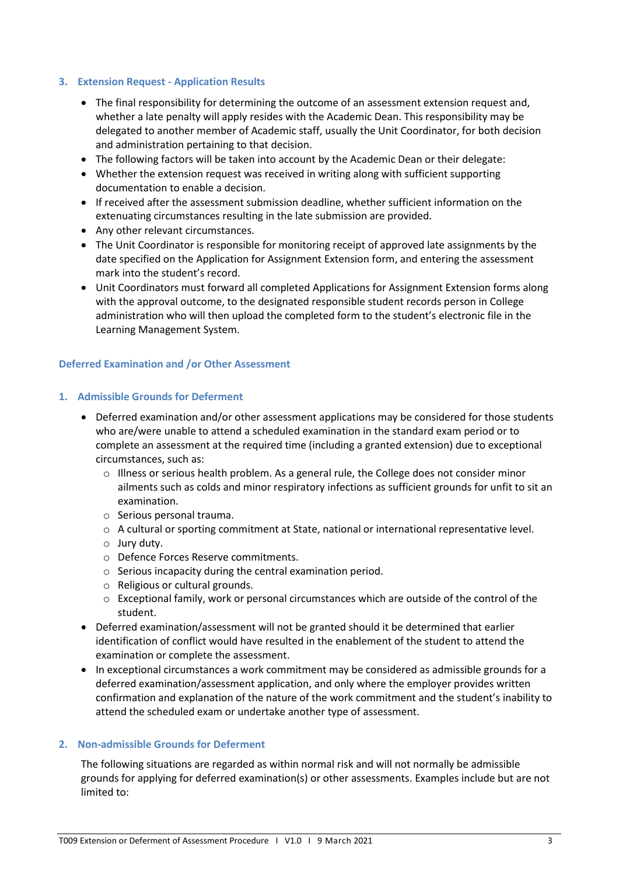#### **3. Extension Request - Application Results**

- The final responsibility for determining the outcome of an assessment extension request and, whether a late penalty will apply resides with the Academic Dean. This responsibility may be delegated to another member of Academic staff, usually the Unit Coordinator, for both decision and administration pertaining to that decision.
- The following factors will be taken into account by the Academic Dean or their delegate:
- Whether the extension request was received in writing along with sufficient supporting documentation to enable a decision.
- If received after the assessment submission deadline, whether sufficient information on the extenuating circumstances resulting in the late submission are provided.
- Any other relevant circumstances.
- The Unit Coordinator is responsible for monitoring receipt of approved late assignments by the date specified on the Application for Assignment Extension form, and entering the assessment mark into the student's record.
- Unit Coordinators must forward all completed Applications for Assignment Extension forms along with the approval outcome, to the designated responsible student records person in College administration who will then upload the completed form to the student's electronic file in the Learning Management System.

#### **Deferred Examination and /or Other Assessment**

#### **1. Admissible Grounds for Deferment**

- Deferred examination and/or other assessment applications may be considered for those students who are/were unable to attend a scheduled examination in the standard exam period or to complete an assessment at the required time (including a granted extension) due to exceptional circumstances, such as:
	- $\circ$  Illness or serious health problem. As a general rule, the College does not consider minor ailments such as colds and minor respiratory infections as sufficient grounds for unfit to sit an examination.
	- o Serious personal trauma.
	- o A cultural or sporting commitment at State, national or international representative level.
	- o Jury duty.
	- o Defence Forces Reserve commitments.
	- o Serious incapacity during the central examination period.
	- o Religious or cultural grounds.
	- o Exceptional family, work or personal circumstances which are outside of the control of the student.
- Deferred examination/assessment will not be granted should it be determined that earlier identification of conflict would have resulted in the enablement of the student to attend the examination or complete the assessment.
- In exceptional circumstances a work commitment may be considered as admissible grounds for a deferred examination/assessment application, and only where the employer provides written confirmation and explanation of the nature of the work commitment and the student's inability to attend the scheduled exam or undertake another type of assessment.

## **2. Non-admissible Grounds for Deferment**

The following situations are regarded as within normal risk and will not normally be admissible grounds for applying for deferred examination(s) or other assessments. Examples include but are not limited to: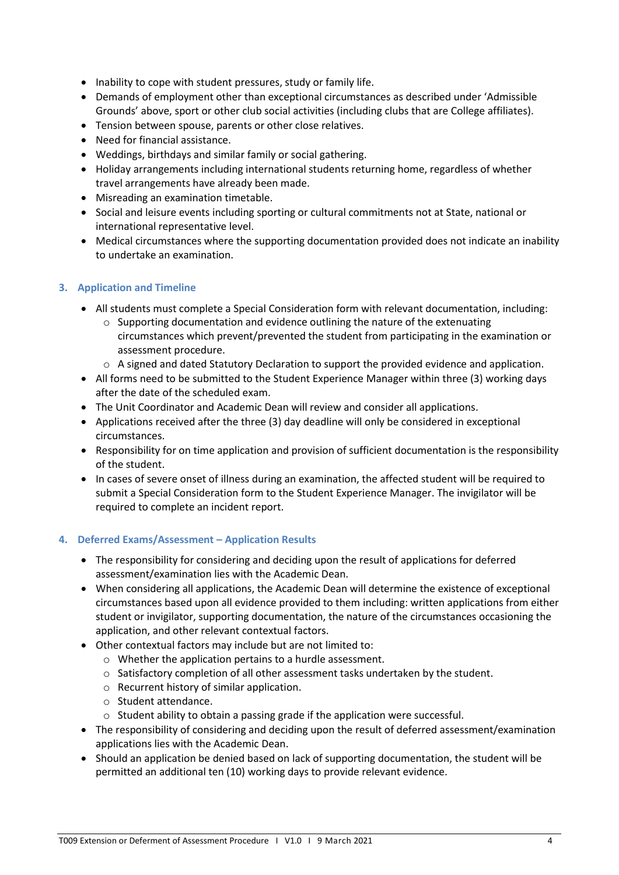- Inability to cope with student pressures, study or family life.
- Demands of employment other than exceptional circumstances as described under 'Admissible Grounds' above, sport or other club social activities (including clubs that are College affiliates).
- Tension between spouse, parents or other close relatives.
- Need for financial assistance.
- Weddings, birthdays and similar family or social gathering.
- Holiday arrangements including international students returning home, regardless of whether travel arrangements have already been made.
- Misreading an examination timetable.
- Social and leisure events including sporting or cultural commitments not at State, national or international representative level.
- Medical circumstances where the supporting documentation provided does not indicate an inability to undertake an examination.

## **3. Application and Timeline**

- All students must complete a Special Consideration form with relevant documentation, including:
	- $\circ$  Supporting documentation and evidence outlining the nature of the extenuating circumstances which prevent/prevented the student from participating in the examination or assessment procedure.
	- $\circ$  A signed and dated Statutory Declaration to support the provided evidence and application.
- All forms need to be submitted to the Student Experience Manager within three (3) working days after the date of the scheduled exam.
- The Unit Coordinator and Academic Dean will review and consider all applications.
- Applications received after the three (3) day deadline will only be considered in exceptional circumstances.
- Responsibility for on time application and provision of sufficient documentation is the responsibility of the student.
- In cases of severe onset of illness during an examination, the affected student will be required to submit a Special Consideration form to the Student Experience Manager. The invigilator will be required to complete an incident report.

#### **4. Deferred Exams/Assessment – Application Results**

- The responsibility for considering and deciding upon the result of applications for deferred assessment/examination lies with the Academic Dean.
- When considering all applications, the Academic Dean will determine the existence of exceptional circumstances based upon all evidence provided to them including: written applications from either student or invigilator, supporting documentation, the nature of the circumstances occasioning the application, and other relevant contextual factors.
- Other contextual factors may include but are not limited to:
	- o Whether the application pertains to a hurdle assessment.
	- $\circ$  Satisfactory completion of all other assessment tasks undertaken by the student.
	- o Recurrent history of similar application.
	- o Student attendance.
	- o Student ability to obtain a passing grade if the application were successful.
- The responsibility of considering and deciding upon the result of deferred assessment/examination applications lies with the Academic Dean.
- Should an application be denied based on lack of supporting documentation, the student will be permitted an additional ten (10) working days to provide relevant evidence.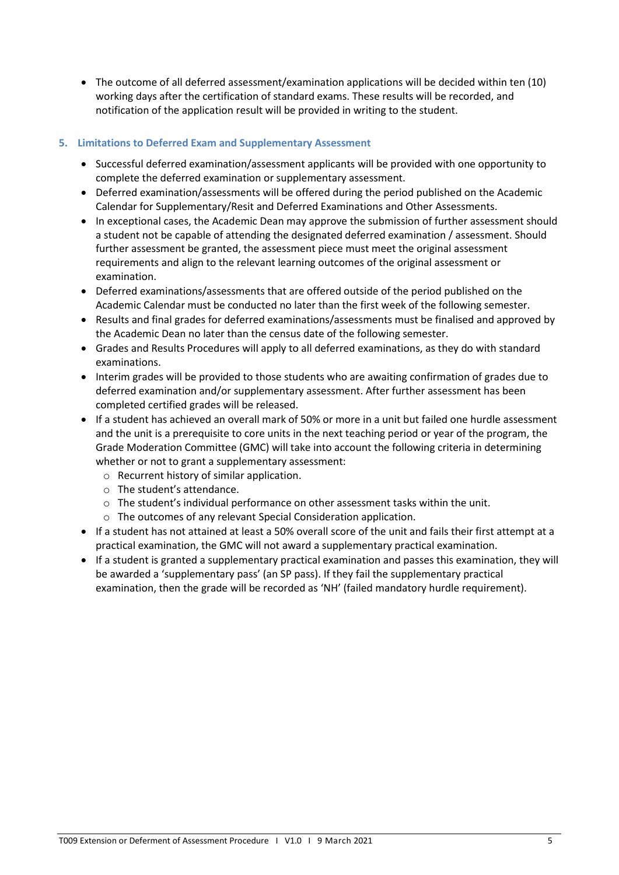• The outcome of all deferred assessment/examination applications will be decided within ten (10) working days after the certification of standard exams. These results will be recorded, and notification of the application result will be provided in writing to the student.

## **5. Limitations to Deferred Exam and Supplementary Assessment**

- Successful deferred examination/assessment applicants will be provided with one opportunity to complete the deferred examination or supplementary assessment.
- Deferred examination/assessments will be offered during the period published on the Academic Calendar for Supplementary/Resit and Deferred Examinations and Other Assessments.
- In exceptional cases, the Academic Dean may approve the submission of further assessment should a student not be capable of attending the designated deferred examination / assessment. Should further assessment be granted, the assessment piece must meet the original assessment requirements and align to the relevant learning outcomes of the original assessment or examination.
- Deferred examinations/assessments that are offered outside of the period published on the Academic Calendar must be conducted no later than the first week of the following semester.
- Results and final grades for deferred examinations/assessments must be finalised and approved by the Academic Dean no later than the census date of the following semester.
- Grades and Results Procedures will apply to all deferred examinations, as they do with standard examinations.
- Interim grades will be provided to those students who are awaiting confirmation of grades due to deferred examination and/or supplementary assessment. After further assessment has been completed certified grades will be released.
- If a student has achieved an overall mark of 50% or more in a unit but failed one hurdle assessment and the unit is a prerequisite to core units in the next teaching period or year of the program, the Grade Moderation Committee (GMC) will take into account the following criteria in determining whether or not to grant a supplementary assessment:
	- o Recurrent history of similar application.
	- o The student's attendance.
	- $\circ$  The student's individual performance on other assessment tasks within the unit.
	- o The outcomes of any relevant Special Consideration application.
- If a student has not attained at least a 50% overall score of the unit and fails their first attempt at a practical examination, the GMC will not award a supplementary practical examination.
- If a student is granted a supplementary practical examination and passes this examination, they will be awarded a 'supplementary pass' (an SP pass). If they fail the supplementary practical examination, then the grade will be recorded as 'NH' (failed mandatory hurdle requirement).